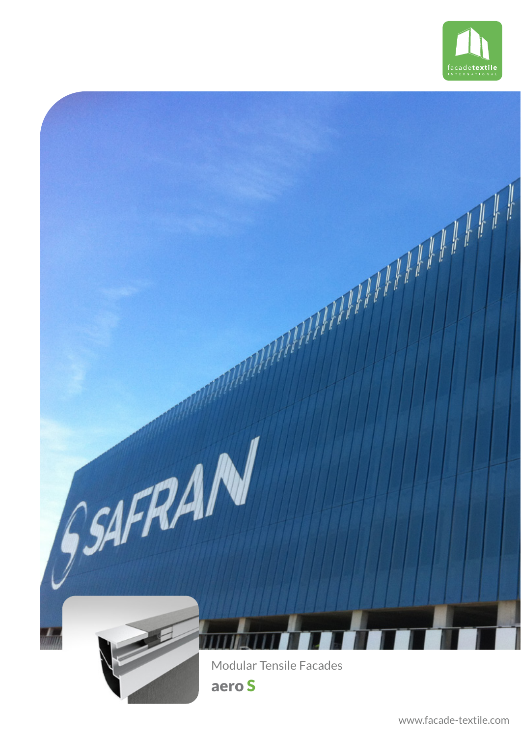

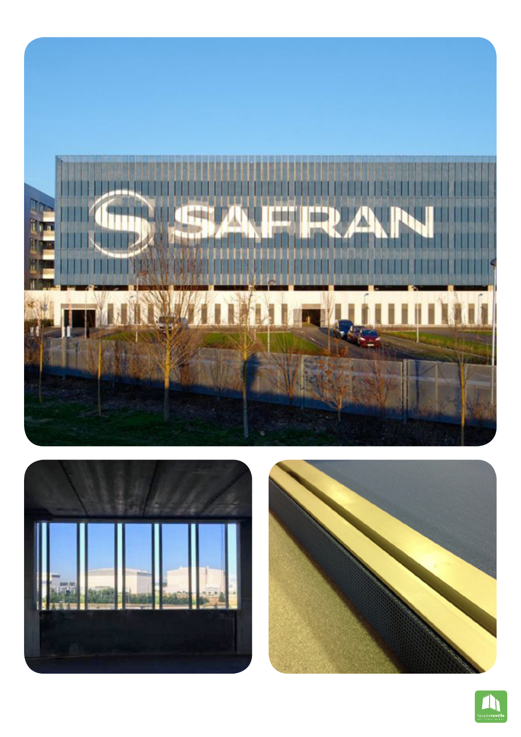





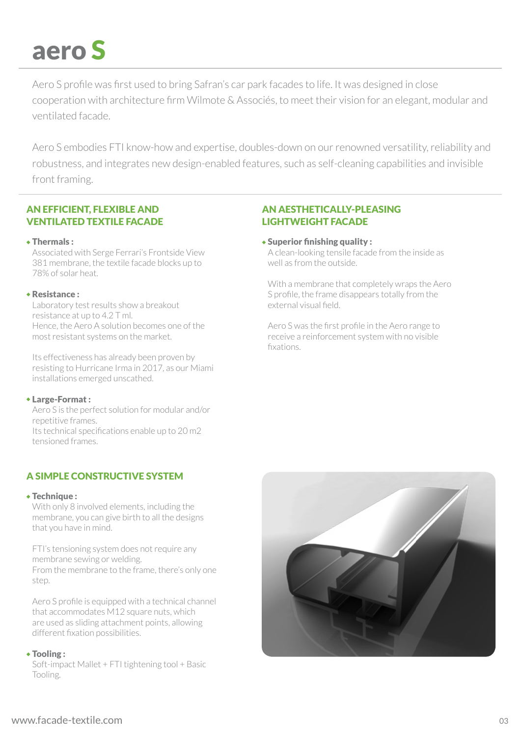# aero S

Aero S profile was first used to bring Safran's car park facades to life. It was designed in close cooperation with architecture firm Wilmote & Associés, to meet their vision for an elegant, modular and ventilated facade.

Aero S embodies FTI know-how and expertise, doubles-down on our renowned versatility, reliability and robustness, and integrates new design-enabled features, such as self-cleaning capabilities and invisible front framing.

#### AN EFFICIENT, FLEXIBLE AND VENTILATED TEXTILE FACADE

#### $\overline{\bullet}$  Thermals :

Associated with Serge Ferrari's Frontside View 381 membrane, the textile facade blocks up to 78% of solar heat.

#### Resistance :

Laboratory test results show a breakout resistance at up to 4.2 T ml. Hence, the Aero A solution becomes one of the most resistant systems on the market.

Its effectiveness has already been proven by resisting to Hurricane Irma in 2017, as our Miami installations emerged unscathed.

#### Large-Format :

Aero S is the perfect solution for modular and/or repetitive frames. Its technical specifications enable up to 20 m2 tensioned frames.

#### A SIMPLE CONSTRUCTIVE SYSTEM

#### • Technique :

With only 8 involved elements, including the membrane, you can give birth to all the designs that you have in mind.

FTI's tensioning system does not require any membrane sewing or welding. From the membrane to the frame, there's only one step.

Aero S profile is equipped with a technical channel that accommodates M12 square nuts, which are used as sliding attachment points, allowing different fixation possibilities.

#### Tooling :

Soft-impact Mallet + FTI tightening tool + Basic Tooling.

#### AN AESTHETICALLY-PLEASING LIGHTWEIGHT FACADE

#### $\triangleleft$  Superior finishing quality :

A clean-looking tensile facade from the inside as well as from the outside.

With a membrane that completely wraps the Aero S profile, the frame disappears totally from the external visual field.

Aero S was the first profile in the Aero range to receive a reinforcement system with no visible fixations.

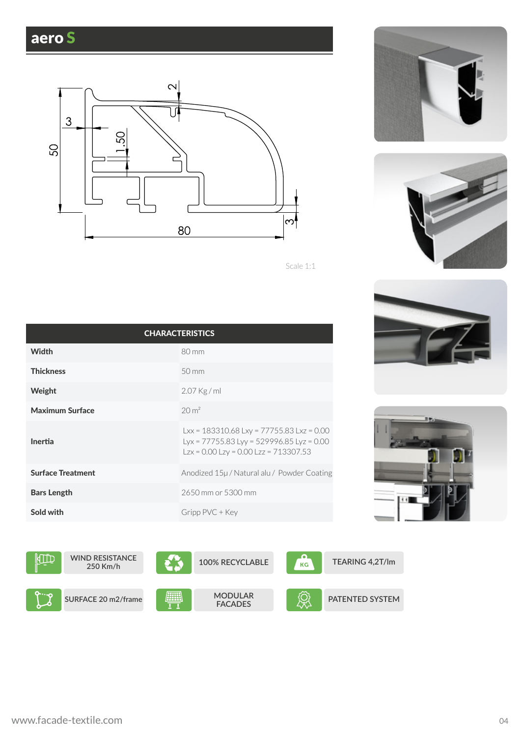### aero S

















**FACADES**



Scale 1:1

炆

**PATENTED SYSTEM**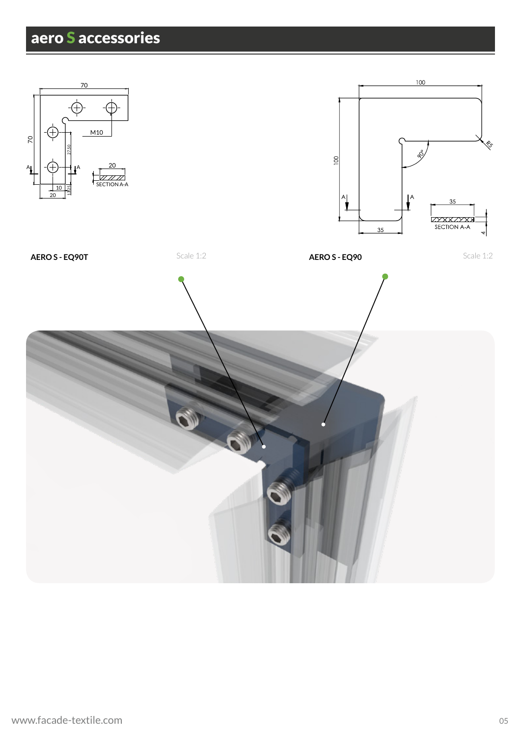## aero S accessories